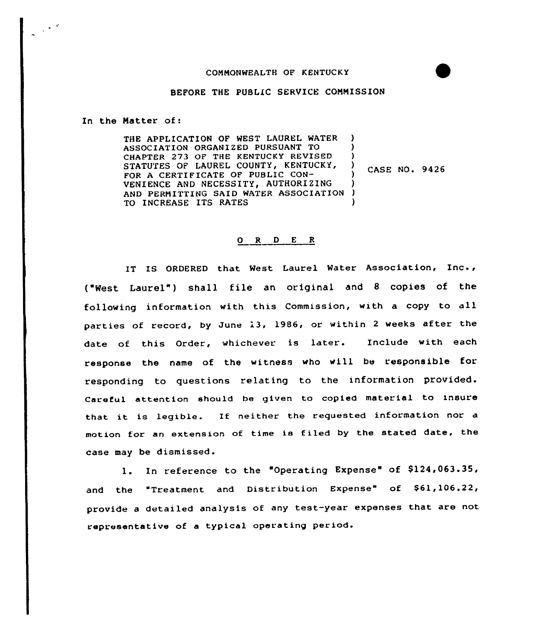## CONNONWEALTH OF KENTUCKY



In the Natter of:

 $\frac{1}{2} \frac{1}{2} \frac{1}{2} \frac{1}{2} \frac{1}{2} \frac{1}{2} \frac{1}{2} \frac{1}{2} \frac{1}{2} \frac{1}{2} \frac{1}{2} \frac{1}{2} \frac{1}{2} \frac{1}{2} \frac{1}{2} \frac{1}{2} \frac{1}{2} \frac{1}{2} \frac{1}{2} \frac{1}{2} \frac{1}{2} \frac{1}{2} \frac{1}{2} \frac{1}{2} \frac{1}{2} \frac{1}{2} \frac{1}{2} \frac{1}{2} \frac{1}{2} \frac{1}{2} \frac{1}{2} \frac{$ 

THE APPLICATION OF WEST LAUREL WATER ASSOCIATION ORGANIZED PURSUANT TO CHAPTER 273 OF THE KENTUCKY REVISED STATUTES OF LAUREL COUNTY, KENTUCKY, FOR A CERTIFICATE OF PUBLIC CON-VENIENCE AND NECESSITY, AUTHORIZING AND PERMITTING SAID WATER ASSOCIATION TO INCREASE ITS RATES ) ) )<br>)  $\frac{7}{1}$  CASE NO. 9426 ) ) )

## 0 R <sup>D</sup> E <sup>R</sup>

IT IS ORDERED that West Laurel Mater Association, Inc., ("West Laurel" ) shall file an original and <sup>8</sup> copies of the following information with this Commission, with <sup>a</sup> copy to all parties of record, by June 13, 1986, or within <sup>2</sup> weeks after the date of this Order, whichever is later. Include with each response the name of the witness who will be responsible for responding to questions relating to the information provided. Careful attention should be given to copied material to insure that it is legible. If neither the requested information nor motion for an extension of time is filed by the stated date, the case may be dismissed.

1. In reference to the "Operating Expense" of \$124,063.35, and the "Treatment and Distribution Expense" of \$61,106.22, provide <sup>a</sup> detailed analysis of any test-year expenses that are not representative of a typical operating period.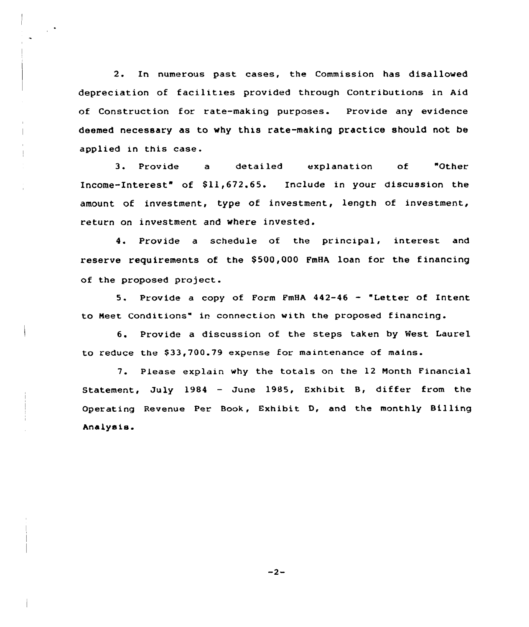2. In numerous past cases, the Commission has disallowed depreciation of facilities provided through Contributions in Aid of Construction for rate-making purposes. Provide any evidence deemed necessary as to why this rate-making practice should not be applied in this case.

3. Provide a detailed explanation of "Other Income-Interest" of \$11,672.65. Include in your discussion the amount of investment, type of investment, length of investment, return on investment and where invested.

4. Provide a schedule of the principal, interest and reserve requirements of the \$ 500,000 FmHA loan for the financing of the proposed project.

5. Provide <sup>a</sup> copy of Form FmHA 442-46 — "Letter of Intent to Neet Conditions" in connection with the proposed financing.

6. Provide a discussion of the steps taken by West Laurel to reduce the \$33,700.79 expense for maintenance of mains.

7. Please explain why the totals on the 12 Nonth Financial Statement, July 1984 — June 1985, Exhibit B, differ from the Operating Revenue Per Book, Exhibit D, and the monthly Billing Analysis'

 $-2-$